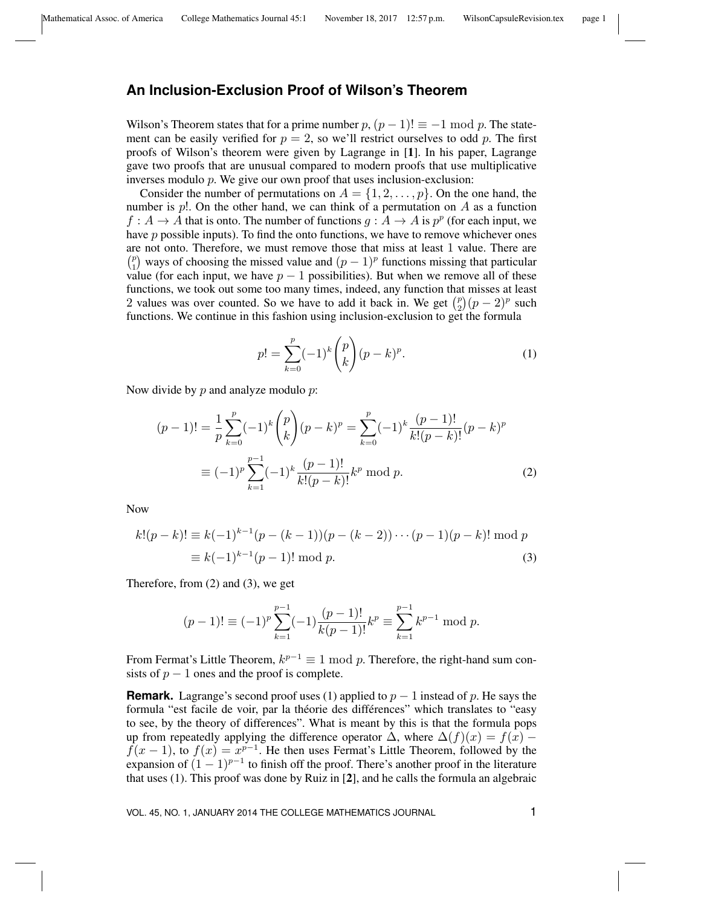## **An Inclusion-Exclusion Proof of Wilson's Theorem**

Wilson's Theorem states that for a prime number  $p$ ,  $(p-1)! \equiv -1 \mod p$ . The statement can be easily verified for  $p = 2$ , so we'll restrict ourselves to odd p. The first proofs of Wilson's theorem were given by Lagrange in [1]. In his paper, Lagrange gave two proofs that are unusual compared to modern proofs that use multiplicative inverses modulo  $p$ . We give our own proof that uses inclusion-exclusion:

Consider the number of permutations on  $A = \{1, 2, \ldots, p\}$ . On the one hand, the number is  $p!$ . On the other hand, we can think of a permutation on A as a function  $f: A \to A$  that is onto. The number of functions  $g: A \to A$  is  $p^p$  (for each input, we have  $p$  possible inputs). To find the onto functions, we have to remove whichever ones are not onto. Therefore, we must remove those that miss at least 1 value. There are  $\binom{p}{p}$  $_{1}^{p}$ ) ways of choosing the missed value and  $(p-1)^p$  functions missing that particular value (for each input, we have  $p - 1$  possibilities). But when we remove all of these functions, we took out some too many times, indeed, any function that misses at least 2 values was over counted. So we have to add it back in. We get  $\binom{p}{2}$  $\binom{p}{2}(p-2)^p$  such functions. We continue in this fashion using inclusion-exclusion to get the formula

$$
p! = \sum_{k=0}^{p} (-1)^k {p \choose k} (p-k)^p.
$$
 (1)

Now divide by  $p$  and analyze modulo  $p$ :

$$
(p-1)! = \frac{1}{p} \sum_{k=0}^{p} (-1)^k {p \choose k} (p-k)^p = \sum_{k=0}^{p} (-1)^k \frac{(p-1)!}{k!(p-k)!} (p-k)^p
$$

$$
\equiv (-1)^p \sum_{k=1}^{p-1} (-1)^k \frac{(p-1)!}{k!(p-k)!} k^p \bmod{p}.
$$
 (2)

Now

$$
k!(p-k)! \equiv k(-1)^{k-1}(p-(k-1))(p-(k-2))\cdots(p-1)(p-k)!\bmod p
$$
  

$$
\equiv k(-1)^{k-1}(p-1)!\bmod p.
$$
 (3)

Therefore, from (2) and (3), we get

$$
(p-1)! \equiv (-1)^p \sum_{k=1}^{p-1} (-1) \frac{(p-1)!}{k(p-1)!} k^p \equiv \sum_{k=1}^{p-1} k^{p-1} \mod p.
$$

From Fermat's Little Theorem,  $k^{p-1} \equiv 1 \mod p$ . Therefore, the right-hand sum consists of  $p - 1$  ones and the proof is complete.

**Remark.** Lagrange's second proof uses (1) applied to  $p - 1$  instead of p. He says the formula "est facile de voir, par la théorie des différences" which translates to "easy to see, by the theory of differences". What is meant by this is that the formula pops up from repeatedly applying the difference operator  $\Delta$ , where  $\Delta(f)(x) = f(x)$  $f(x-1)$ , to  $f(x) = x^{p-1}$ . He then uses Fermat's Little Theorem, followed by the expansion of  $(1 - 1)^{p-1}$  to finish off the proof. There's another proof in the literature that uses (1). This proof was done by Ruiz in [2], and he calls the formula an algebraic

VOL. 45, NO. 1, JANUARY 2014 THE COLLEGE MATHEMATICS JOURNAL 1